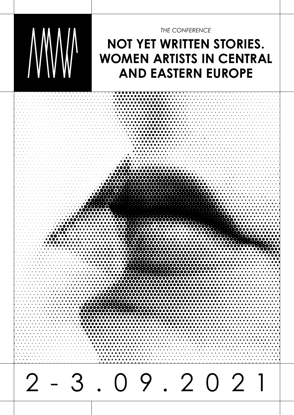

*THE CONFERENCE*

# **NOT YET WRITTEN STORIES. WOMEN ARTISTS IN CENTRAL AND EASTERN EUROPE**

2-3.09.2021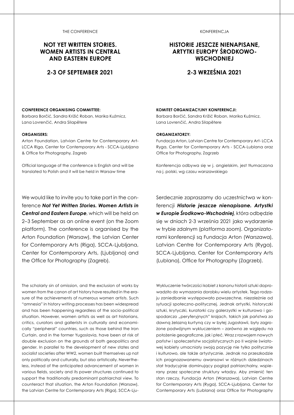#### THE CONFERENCE

### **NOT YET WRITTEN STORIES. WOMEN ARTISTS IN CENTRAL AND EASTERN EUROPE**

### **2-3 OF SEPTEMBER 2021**

#### KONFERENCJA

### **HISTORIE JESZCZE NIENAPISANE, ARTYTKI EUROPY ŚRODKOWO-WSCHODNIEJ**

### **2-3 WRZEŚNIA 2021**

#### **CONFERENCE ORGANISING COMMITTEE:**

Barbara Borčić, Sandra Križić Roban, Marika Kuźmicz, Lana Lovrenčić, Andra Silapētere

#### **ORGANISERS:**

Arton Foundation, Latvian Centre for Contemporary Art-LCCA Riga, Center for Contemporary Arts - SCCA-Ljubljana & Office for Photography, Zagreb

Official language of the conference is English and will be translated to Polish and it will be held in Warsaw time

We would like to invite you to take part in the conference *Not Yet Written Stories. Women Artists in Central and Eastern Europe*, which will be held on 2–3 September as an online event (on the Zoom platform). The conference is organised by the Arton Foundation (Warsaw), the Latvian Center for Contemporary Arts (Riga), SCCA-Ljubljana, Center for Contemporary Arts, (Ljubljana) and the Office for Photography (Zagreb).

The scholarly sin of omission, and the exclusion of works by women from the canon of art history have resulted in the erasure of the achievements of numerous women artists. Such "amnesia" in history writing processes has been widespread and has been happening regardless of the socio-political situation. However, women artists as well as art historians, critics, curators and gallerists in culturally and economically "peripheral" countries, such as those behind the Iron Curtain, and in the former Yugoslavia, have been at risk of double exclusion on the grounds of both geopolitics and gender. In parallel to the development of new states and socialist societies after WW2, women built themselves up not only politically and culturally, but also artistically. Nevertheless, instead of the anticipated advancement of women in various fields, society and its power structures continued to support the traditionally predominant patriarchal view. To counteract that situation, the Arton Foundation (Warsaw), the Latvian Centre for Contemporary Arts (Riga), SCCA-Lju-

#### **KOMITET ORGANIZACYJNY KONFERENCJI:**

Barbara Borčić, Sandra Križić Roban, Marika Kuźmicz, Lana Lovrenčić, Andra Silapētere

#### **ORGANIZATORZY:**

Fundacja Arton, Latvian Centre for Contemporary Art- LCCA Ryga, Center for Contemporary Arts - SCCA-Lublana oraz Office for Photography, Zagrzeb

Konferencja odbywa się w j. angielskim, jest tłumaczona na j. polski, wg czasu warszawskiego

Serdecznie zapraszamy do uczestnictwa w konferencji *Historie jeszcze nienapisane. Artystki w Europie Środkowo-Wschodniej*, która odbędzie się w dniach 2-3 września 2021 jako wydarzenie w trybie zdalnym (platforma zoom). Organizatorami konferencji są Fundacja Arton (Warszawa), Latvian Centre for Contemporary Arts (Ryga), SCCA-Ljubljana, Center for Contemporary Arts (Lublana), Office for Photography (Zagrzeb).

Wykluczenie twórczości kobiet z kanonu historii sztuki doprowadziło do wymazania dorobku wielu artystek. Tego rodzaju zaniedbanie występowało powszechne, niezależnie od sytuacji społeczno-politycznej. Jednak artystki, historyczki sztuki, krytyczki, kuratorki czy galerzystki w kulturowo i gospodarczo "peryferyjnych" krajach, takich jak państwa za dawną żelazną kurtyną czy w byłej Jugosławii, były zagrożone podwójnym wykluczeniem – zarówno ze względu na położenie geograficzne, jak i płeć. Wraz z rozwojem nowych państw i społeczeństw socjalistycznych po II wojnie światowej kobiety umacniały swoją pozycję nie tylko politycznie i kulturowo, ale także artystycznie. Jednak na przeszkodzie ich prognozowanemu awansowi w różnych dziedzinach stał tradycyjnie dominujący pogląd patriarchalny, wspierany przez społeczne struktury władzy. Aby zmienić ten stan rzeczy, Fundacja Arton (Warszawa), Latvian Centre for Contemporary Arts (Ryga), SCCA-Ljubljana, Center for Contemporary Arts (Lublana) oraz Office for Photography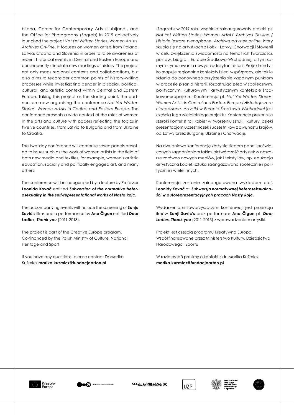bljana, Center for Contemporary Arts (Ljubljana), and the Office for Photography (Zagreb) in 2019 collectively launched the project *Not Yet Written Stories: Women Artists' Archives On-line*. It focuses on women artists from Poland, Latvia, Croatia and Slovenia in order to raise awareness of recent historical events in Central and Eastern Europe and consequently stimulate new readings of history. The project not only maps regional contexts and collaborations, but also aims to reconsider common points of history-writing processes while investigating gender in a social, political, cultural, and artistic context within Central and Eastern Europe. Taking this project as the starting point, the partners are now organising the conference *Not Yet Written Stories. Women Artists in Central and Eastern Europe*. The conference presents a wide context of the roles of women in the arts and culture with papers reflecting the topics in twelve countries, from Latvia to Bulgaria and from Ukraine to Croatia.

The two-day conference will comprise seven panels devoted to issues such as the work of women artists in the field of both new media and textiles, for example, women's artistic education, socially and politically engaged art, and many others.

The conference will be inaugurated by a lecture by Professor **Leonida Kovač** entitled *Subversion of the normative heterosexuality in the self-representational works of Nasta Rojc*.

The accompanying events will include the screening of **Sonja Savić's** films and a performance by **Ana Čigon** entitled *Dear Ladies, Thank you* (2011-2013).

The project is part of the Creative Europe program. Co-financed by the Polish Ministry of Culture, National Heritage and Sport

If you have any questions, please contact Dr Marika Kuźmicz **marika.kuzmicz@fundacjaarton.pl**

(Zagrzeb) w 2019 roku wspólnie zainaugurowały projekt pt. *Not Yet Written Stories: Women Artists' Archives On-line / Historie jeszcze nienapisane. Archiwa artystek online*, który skupia się na artystkach z Polski, Łotwy, Chorwacji i Słowenii w celu zwiększenia świadomości na temat ich twórczości, postaw, biografii Europie Środkowo-Wschodniej, a tym samym stymulowania nowych odczytań historii. Projekt nie tylko mapuje regionalne konteksty i sieci współpracy, ale także skłania do ponownego przyjrzenia się wspólnym punktom w procesie pisania historii, rozpatrując płeć w społecznym, politycznym, kulturowym i artystycznym kontekście środkowoeuropejskim. Konferencja pt. *Not Yet Written Stories. Women Artists in Central and Eastern Europe / Historie jeszcze nienapisane. Artystki w Europie Środkowo-Wschodniej* jest częścią tego wieloletniego projektu. Konferencja prezentuje szeroki kontekst roli kobiet w tworzeniu sztuki i kultury, dzięki prezentacjom uczestniczek i uczestników z dwunastu krajów, od Łotwy przez Bułgarię, Ukrainę i Chorwację.

Na dwudniową konferencję złoży się siedem paneli poświęconych zagadnieniom takim jak twórczość artystek w obszarze zarówno nowych mediów, jak i tekstyliów, np. edukacja artystyczna kobiet, sztuka zaangażowana społecznie i politycznie i wiele innych.

Konferencja zostanie zainaugurowana wykładem prof. **Leonidy Kovač** pt. *Subwersja normatywnej heteroseksualności w autoreprezentacyjnych pracach Nasty Rojc*.

Wydarzeniami towarzyszącymi konfenrecji jest projekcja ilmów **Sonji Savić's** oraz performans **Ana Čigon** pt. *Dear Ladies, Thank you* (2011-2013) z wprowadzeniem artystki.

Projekt jest częścią programu Kreatywna Europa. Współfinansowane przez Ministerstwo Kultury, Dziedzictwa Narodowego i Sportu

W razie pytań prosimy o kontakt z dr. Mariką Kuźmicz **marika.kuzmicz@fundacjaarton.pl**





SCCA-LJUBLJANA





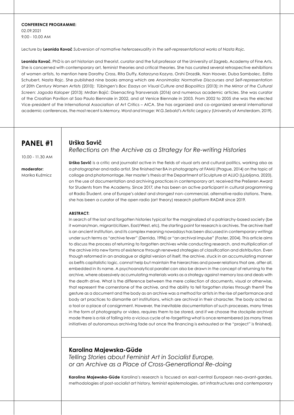#### **CONFERENCE PROGRAMME:**

02.09.2021 9.00 - 10.00 AM

Lecture by **Leonida Kovač** *Subversion of normative heterosexuality in the self-representational works of Nasta Rojc.*

Leonida Kovač, PhD is an art historian and theorist, curator and the full professor at the University of Zagreb, Academy of Fine Arts. She is concerned with contemporary art, feminist theories and critical theories. She has curated several retrospective exhibitions of women artists, to mention here Dorothy Cross, Rita Duffy, Katarzyna Kozyra, Orshi Drozdik, Nan Hoover, Duba Sambolec, Edita Schubert, Nasta Rojc. She published nine books among which are *Anonimalia: Normative Discourses and Self-representation of 20th Century Women Artists* (2010); *Tübingen's Box: Essays on Visual Culture and Biopolitics* (2013); *In the Mirror of the Cultural Screen: Jagoda Kaloper* (2013); Mrđan Bajić: Disenacting Transversals (2016) and numerous academic articles. She was curator of the Croatian Pavilion at Sao Paulo Biennale in 2002, and at Venice Biennale in 2003. From 2002 to 2005 she was the elected Vice-president of the International Association of Art Critics – AICA. She has organized and co-organized several international academic conferences, the most recent is *Memory, Word and Image: W.G.Sebald's Artistic Legacy* (University of Amsterdam, 2019).

# **PANEL #1**

10.00 - 11.30 AM

**moderator:**  Marika Kuźmicz *Reflections on the Archive as a Strategy for Re-writing Histories*

**Urška Savič** is a critic and journalist active in the fields of visual arts and cultural politics, working also as a photographer and radio artist. She finished her BA in photography at FAMU (Prague, 2014) on the topic of collage and photomontage. Her master's thesis at the Department of Sculpture at ALUO (Ljubljana, 2020), on the use of documentation and archiving practices in contemporary art, received the Prešeren Award for Students from the Academy. Since 2017, she has been an active participant in cultural programming at Radio Študent, one of Europe's oldest and strongest non-commercial, alternative radio stations. There, she has been a curator of the open radio (art theory) research platform RADAR since 2019.

### **ABSTRACT:**

**Urška Savič**

In search of the lost and forgotten histories typical for the marginalized of a patriarchy-based society (be it woman/man, migrant/citizen, East/West, etc), the starting point for research is archives. The archive itself is an ancient institution, and its complex meaning nowadays has been discussed in contemporary writings under such terms as "archive fever" (Derrida, 1996) or "an archival impulse" (Foster, 2004). This article aims to discuss the process of returning to forgotten archives while conducting research, and multiplication of the archive into new forms of existence through renewed strategies of classification and distribution. Even though reformed in an analogue or digital version of itself, the archive, stuck in an accumulating manner as befits capitalistic logic, cannot help but maintain the hierarchies and power relations that are, after all, embedded in its name. A psychoanalytical parallel can also be drawn in the concept of returning to the archive, where obsessively accumulating materials works as a strategy against memory loss and deals with the death drive. What is the difference between the mere collection of documents, visual or otherwise, that represent the cornerstone of the archive, and the ability to tell forgotten stories through them? The gesture as a document and the body as an archive was a method for artists in the rise of performance and body art practices to dismantle art institutions, which are archival in their character. The body acted as a tool or a place of consignment. However, the inevitable documentation of such processes, many times in the form of photography or video, requires them to be stored, and if we choose the stockpile archival mode there is a risk of falling into a vicious cycle of re-forgetting what is once remembered (as many times initiatives of autonomous archiving fade out once the financing is exhausted or the "project" is finished).

### **Karolina Majewska-Güde**

*Telling Stories about Feminist Art in Socialist Europe, or an Archive as a Place of Cross-Generational Re-doing*

**Karolina Majewska-Güde** Karolina's research is focused on east-central European neo-avant-gardes, methodologies of post-socialist art history, feminist epistemologies, art infrastructures and contemporary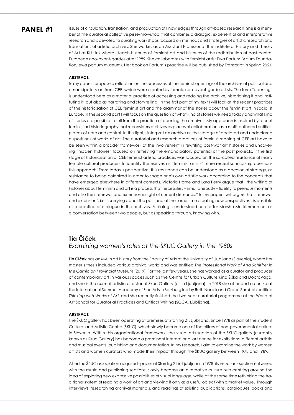issues of circulation, translation, and production of knowledges through art-based research. She is a member of the curatorial collective pisze/mówi/robi that combines a dialogic, experiential and interpretative research and is devoted to curating workshops focused on methods and strategies of artistic research and translations of artistic archives. She workes as an Assistant Professor at the Institute of History and Theory of Art at KU Linz where I teach histories of feminist art and histories of the redistribution of east-central European neo-avant-gardes after 1989. She collaborates with feminist artist Ewa Partum (Artum Foundation, ewa partum museum). Her book on Partum's practice will be published by Transcript in Spring 2021.

#### **ABSTRACT:**

In my paper I propose a reflection on the processes of the feminist openings of the archives of political and emancipatory art from CEE, which were created by female neo-avant-garde artists. The term "opening" is understood here as a material practice of accessing and redoing the archive, historicising it and instituting it, but also as narrating and storytelling. In the first part of my text I will look at the recent practices of the historicization of CEE feminist art and the grammar of the stories about the feminist art in socialist Europe. In the second part I will focus on the question of what kind of stories we need today and what kind of stories are possible to tell from the practice of opening the archives. My approach is inspired by recent feminist art historiography that reconsiders archives as places of collaboration, as a multi-authored entities, places of care and control. In this light, I interpret an archive as the storage of declared and undeclared dispositions of works of art. The curatorial and research practices of feminist redoing of CEE art have to be seen within a broader framework of the involvement in rewriting post-war art histories and uncovering "hidden histories" focused on retrieving the emancipatory potential of the past projects. If the first stage of historicization of CEE feminist artistic practices was focused on the so-called resistance of many female cultural producers to identify themselves as "feminist artists" more recent scholarship questions this approach. From today's perspective, this resistance can be understood as a decolonial strategy, as resistance to being colonized in order to shape one's own artistic work according to the concepts that have emerged elsewhere in different contexts. Victoria Horne and Lara Perry argue that "the writing of histories about feminism and art is a process that necessities – simultaneously – fidelity to previous moments and also their renewal and extension in light of current demands." In my paper I will argue that "renewal and extension", i.e. "carrying about the past and at the same time creating new perspectives", is possible as a practice of dialogue in the archives. A dialog is understood here after Marsha Meskimmon not as a conversation between two people, but as speaking through, knowing with.

### **Tia Čiček**  *Examining women's roles at the ŠKUC Gallery in the 1980s*

**Tia Čiček** has an MA in art history from the Faculty of Arts at the University of Ljubljana (Slovenia), where her master's thesis included various archival works and was entitled *The Professional Work of Ana Schiffrer in the Carniolan Provincial Museum* (2019). For the last few years, she has worked as a curator and producer of contemporary art in various spaces such as the Centre for Urban Culture Kino Šiška and DobraVaga, and she is the current artistic director of Škuc Gallery (all in Ljubljana). In 2018 she attended a course at the International Summer Academy of Fine Arts in Salzburg led by Ruth Noack and Grace Samboh entitled *Thinking with Works of Art*, and she recently finished the two-year curatorial programme at the World of Art School for Curatorial Practices and Critical Writing (SCCA, Ljubljana).

#### **ABSTRACT:**

The ŠKUC gallery has been operating at premises at Stari trg 21, Ljubljana, since 1978 as part of the Student Cultural and Artistic Centre (ŠKUC), which slowly became one of the pillars of non-governmental culture in Slovenia. Within this organizational framework, the visual arts section of the ŠKUC gallery (currently known as Škuc Gallery) has become a prominent international art centre for exhibitions, different artistic and musical events, publishing and documentation. In my research, I aim to examine the work by women artists and women curators who made their impact through the ŠKUC gallery between 1978 and 1989.

After the ŠKUC association acquired spaces at Stari trg 21 in Ljubljana in 1978, its visual arts section entwined with the music and publishing sections, slowly became an alternative culture hub centring around the idea of exploring new expressive possibilities of visual language, while at the same time rethinking the traditional system of reading a work of art and viewing it only as a useful object with a market value. Through interviews, researching archival materials, and readings of existing publications, catalogues, books and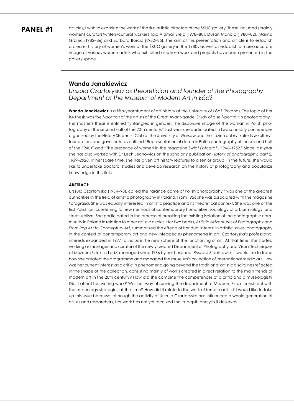articles, I wish to examine the work of the first artistic directors of the ŠKUC gallery. These included (mainly women) curators/writers/cultural workers Taja Vidmar Brejc (1978–80), Dušan Mandić (1980–82), Marina Gržinić (1982–86) and Barbara Borčić (1982–85). The aim of this presentation and article is to establish a clearer history of women's work at the ŠKUC gallery in the 1980s as well as establish a more accurate image of various women artists who exhibited or whose work and projects have been presented in the gallery space.

### **Wanda Janakiewicz**

*Urszula Czartoryska as theoretician and founder of the Photography Department at the Museum of Modern Art in Łódź*

**Wanda Janakiewicz** is a fifth-year student of art history at the University of Łódź (Poland). The topic of her BA thesis was "Self-portrait of the artists of the Great Avant-garde: Study of a self-portrait in photography." Her master's thesis is entitled "Entangled in gender: The discursive image of the woman in Polish photography of the second half of the 20th century." Last year she participated in two scholarly conferences organized by the History Students' Club at the University of Warsaw and the "dzień dobry! kolektyw kultury" foundation, and gave lectures entitled "Representation of death in Polish photography of the second half of the 1940s" and "The presence of women in the magazine *Świat Fotografii*, 1946–1952." Since last year she has also worked with Dr Lech Lechowicz on the scholarly publication *History of photography, part 2, 1939–2020*. In her spare time, she has given art history lectures to a senior group. In the future, she would like to undertake doctoral studies and develop research on the history of photography and popularize knowledge in this field.

#### **ABSTRACT:**

Urszula Czartoryska (1934–98), called the "grande dame of Polish photography," was one of the greatest authorities in the field of artistic photography in Poland. From 1956 she was associated with the magazine *Fotografia*. She was equally interested in artistic practice and its theoretical context. She was one of the first Polish critics referring to new methods of contemporary humanities: sociology of art, semiology, and structuralism. She participated in the process of breaking the existing isolation of the photographic community in Poland in relation to other artistic circles. Her two books, *Artistic Adventures of Photography* and *From Pop Art to Conceptual Art*, summarized the effects of her dual interest in artistic issues: photography in the context of contemporary art and new interspecies phenomena in art. Czartoryska's professional interests expanded in 1977 to include the new sphere of the functioning of art. At that time, she started working as manager and curator of the newly created Department of Photography and Visual Techniques at Muzeum Sztuki in Łódź, managed since 1966 by her husband, Ryszard Stanisławski. I would like to trace how she created the programme and managed the museum's collection of international media art. How was her current interest as a critic in phenomena going beyond the traditional artistic disciplines reflected in the shape of the collection, consisting mainly of works created in direct relation to the main trends of modern art in the 20th century? How did she combine the competences of a critic and a museologist? Did it affect her writing work? Was her way of running the department at Muzeum Sztuki consistent with the museology strategies at the time? How did it relate to the work of female artists? I would like to take up this issue because, although the activity of Urszula Czartoryska has influenced a whole generation of artists and researchers, her work has not yet received the in-depth analysis it deserves.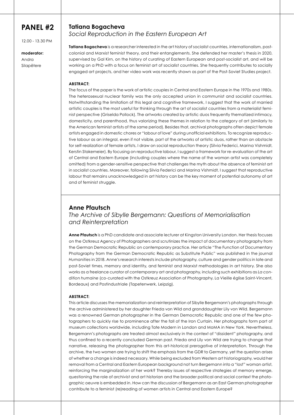12.00 - 13.30 PM

**moderator:**  Andra

Silapētere

### **Tatiana Bogacheva**  *Social Reproduction in the Eastern European Art*

**Tatiana Bogacheva** is a researcher interested in the art history of socialist countries, internationalism, postcolonial and Marxist feminist theory, and their entanglements. She defended her master's thesis in 2020, supervised by Gal Kirn, on the history of curating of Eastern European and post-socialist art, and will be working on a PhD with a focus on feminist art of socialist countries. She frequently contributes to socially engaged art projects, and her video work was recently shown as part of the Post-Soviet Studies project.

### **ABSTRACT:**

The focus of the paper is the work of artistic couples in Central and Eastern Europe in the 1970s and 1980s. The heterosexual nuclear family was the only accepted union in communist and socialist countries. Notwithstanding the limitation of this legal and cognitive framework, I suggest that the work of married artistic couples is the most useful for thinking through the art of socialist countries from a materialist feminist perspective (Griselda Pollock). The artworks created by artistic duos frequently thematized intimacy, domesticity, and parenthood, thus valorizing these themes in relation to the category of art (similarly to the American feminist artists of the same period). Besides that, archival photographs often depict female artists engaged in domestic chores or "labour of love" during unofficial exhibitions. To recognize reproductive labour as an integral, even if not visible, part of the artworks of artistic duos, rather than an obstacle for self-realization of female artists, I draw on social reproduction theory (Silvia Federici, Marina Vishmidt, Kerstin Stakemeier). By focusing on reproductive labour, I suggest a framework for re-evaluation of the art of Central and Eastern Europe (including couples where the name of the woman artist was completely omitted) from a gender-sensitive perspective that challenges the myth about the absence of feminist art in socialist countries. Moreover, following Silvia Federici and Marina Vishmidt, I suggest that reproductive labour that remains unacknowledged in art history can be the key moment of potential autonomy of art and of feminist struggle.

### **Anne Pfautsch**

*The Archive of Sibylle Bergemann: Questions of Memorialisation and Reinterpretation* 

**Anne Pfautsch** is a PhD candidate and associate lecturer at Kingston University London. Her thesis focuses on the Ostkreuz Agency of Photographers and scrutinizes the impact of documentary photography from the German Democratic Republic on contemporary practice. Her article "The Function of Documentary Photography from the German Democratic Republic as Substitute Public" was published in the journal *Humanities* in 2018. Anne's research interests include photography, culture and gender politics in late and post-Soviet times, memory and identity, and feminist and Marxist methodologies in art history. She also works as a freelance curator of contemporary art and photography, including such exhibitions as *La condition humaine* (co-curated with the Ostkreuz Association of Photography, La Vieille église Saint-Vincent, Bordeaux) and Postindustriale (Tapetenwerk, Leipzig).

### **ABSTRACT:**

This article discusses the memorialization and reinterpretation of Sibylle Bergemann's photographs through the archive administered by her daughter Frieda von Wild and granddaughter Lily von Wild. Bergemann was a renowned German photographer in the German Democratic Republic and one of the few photographers to quickly rise to prominence after the fall of the Iron Curtain. Her photographs form part of museum collections worldwide, including Tate Modern in London and MoMA in New York. Nevertheless, Bergemann's photographs are treated almost exclusively in the context of "dissident" photography, and thus confined to a recently concluded German past. Frieda and Lily von Wild are trying to change that narrative, releasing the photographer from this art-historical prerogative of interpretation. Through the archive, the two women are trying to shift the emphasis from the GDR to Germany, yet the question arises of whether a change is indeed necessary. While being excluded from Western art historiography, would her removal from a Central and Eastern European background not turn Bergemann into a "lost" woman artist, reinforcing the marginalization of her work? Thereby issues of respective strategies of memory emerge, questioning the role of archivist and art historian and the broader political and social context the photographic oeuvre is embedded in. How can the discussion of Bergemann as an East German photographer contribute to a feminist (re)reading of women artists in Central and Eastern Europe?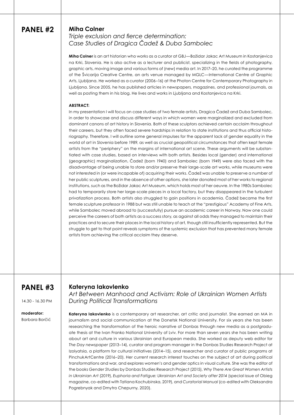### **Miha Colner**

*Triple exclusion and fierce determination: Case Studies of Dragica Čadež & Duba Sambolec*

**Miha Colner** is an art historian who works as a curator at GBJ—Božidar Jakac Art Museum in Kostanjevica na Krki, Slovenia. He is also active as a lecturer and publicist, specializing in the fields of photography, graphic arts, moving image and various forms of (new) media art. In 2017–20, he curated the programme of the Švicarija Creative Centre, an arts venue managed by MGLC—International Centre of Graphic Arts, Ljubljana. He worked as a curator (2006–16) at the Photon Centre for Contemporary Photography in Ljubljana. Since 2005, he has published articles in newspapers, magazines, and professional journals, as well as posting them in his blog. He lives and works in Ljubljana and Kostanjevica na Krki.

#### **ABSTRACT:**

**Kateryna Iakovlenko** 

In my presentation I will focus on case studies of two female artists, Dragica Čadež and Duba Sambolec, in order to showcase and discuss different ways in which women were marginalized and excluded from dominant canons of art history in Slovenia. Both of these sculptors achieved certain acclaim throughout their careers, but they often faced severe hardships in relation to state institutions and thus official historiography. Therefore, I will outline some general impulses for the apparent lack of gender equality in the world of art in Slovenia before 1989, as well as crucial geopolitical circumstances that often kept female artists from the "periphery" on the margins of international art scene. These arguments will be substantiated with case studies, based on interviews with both artists. Besides local (gender) and international (geographic) marginalization, Čadež (born 1940) and Sambolec (born 1949) were also faced with the disadvantage of being unable to store and/or preserve their large-scale art works, while museums were not interested in (or were incapable of) acquiring their works. Čadež was unable to preserve a number of her public sculptures, and in the absence of other options, she later donated most of her works to regional institutions, such as the Božidar Jakac Art Museum, which holds most of her oeuvre. In the 1980s Sambolec had to temporarily store her large-scale pieces in a local factory, but they disappeared in the turbulent privatization process. Both artists also struggled to gain positions in academia. Čadež became the first female sculpture professor in 1988 but was still unable to teach at the "prestigious" Academy of Fine Arts, while Sambolec moved abroad to (successfully) pursue an academic career in Norway. Now one could perceive the careers of both artists as a success story, as against all odds they managed to maintain their practices and to secure their places in the local history of art, though still insufficiently represented. But the struggle to get to that point reveals symptoms of the systemic exclusion that has prevented many female artists from achieving the critical acclaim they deserve.

# **PANEL #3**

14.30 - 16.30 PM

#### **moderator:**  Barbara Borčić

*Art Between Manhood and Activism: Role of Ukrainian Women Artists During Political Transformations* 

Kateryna lakovlenko is a contemporary art researcher, art critic and journalist. She earned an MA in journalism and social communication at the Donetsk National University. For six years she has been researching the transformation of the heroic narrative of Donbas through new media as a postgraduate thesis at the Ivan Franko National University of Lviv. For more than seven years she has been writing about art and culture in various Ukrainian and European media. She worked as deputy web editor for *The Day newspaper* (2013–14), curator and program manager in the Donbas Studies Research Project at Izolyatsia, a platform for cultural initiatives (2014–15), and researcher and curator of public programs at PinchukArtCentre (2016–20). Her current research interest touches on the subject of art during political transformations and war, and explores women's and gender optics in visual culture. She was the editor of the books *Gender Studies* by Donbas Studies Research Project (2015), *Why There Are Great Women Artists in Ukrainian Art* (2019), *Euphoria and Fatigue: Ukrainian Art and Society after 2014* (special issue of Obieg magazine, co-edited with Tatiana Kochubinska, 2019), and *Curatorial Manual* (co-edited with Oleksandra Pogrebnyak and Dmytro Chepurny, 2020).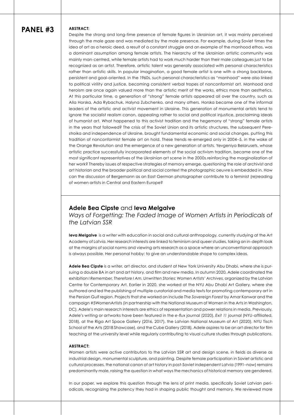#### **ABSTRACT:**

Despite the strong and long-time presence of female figures in Ukrainian art, it was mainly perceived through the male gaze and was mediated by the male presence. For example, during Soviet times the idea of art as a heroic deed, a result of a constant struggle and an example of the manhood ethos, was a dominant assumption among female artists. The hierarchy of the Ukrainian artistic community was mainly man-centred, while female artists had to work much harder than their male colleagues just to be recognized as an artist. Therefore, artistic talent was generally associated with personal characteristics rather than artistic skills. In popular imagination, a good female artist is one with a strong backbone, persistent and goal-oriented. In the 1960s, such personal characteristics as "manhood" were also linked to political virility and justice, becoming consistent verbal tropes of nonconformist art. Manhood and heroism are once again valued more than the artistic merit of the works, ethics more than aesthetics. At this particular time, a generation of "strong" female artists appeared all over the country, such as Alla Horska, Ada Rybachuk, Halyna Zubchenko, and many others. Horska became one of the informal leaders of the artistic and activist movement in Ukraine. This generation of monumental artists tend to ignore the socialist realism canon, appealing rather to social and political injustice, proclaiming ideals of humanist art. What happened to this activist tradition and the hegemony of "strong" female artists in the years that followed? The crisis of the Soviet Union and its artistic structures, the subsequent Perestroika and independence of Ukraine, brought fundamental economic and social changes, putting this tradition of nonconformist female art on hold. These trends re-emerged only in 2004–5, in the wake of the Orange Revolution and the emergence of a new generation of artists. Yevgeniya Belarusets, whose artistic practice successfully incorporated elements of the social activism tradition, became one of the most significant representatives of the Ukrainian art scene in the 2000s.reinforcing the marginalization of her work? Thereby issues of respective strategies of memory emerge, questioning the role of archivist and art historian and the broader political and social context the photographic oeuvre is embedded in. How can the discussion of Bergemann as an East German photographer contribute to a feminist (re)reading of women artists in Central and Eastern Europe?

### **Adele Bea Cipste** and **Ieva Melgalve**

*Ways of Forgetting: The Faded Image of Women Artists in Periodicals of the Latvian SSR* 

**Ieva Melgalve** is a writer with education in social and cultural anthropology, currently studying at the Art Academy of Latvia. Her research interests are linked to feminism and queer studies, taking an in-depth look at the margins of social norms and viewing arts research as a space where an unconventional approach is always possible. Her personal hobby: to give an understandable shape to complex ideas.

**Adele Bea Cipste** is a writer, art director, and student at New York University Abu Dhabi, where she is pursuing a double BA in art and art history, and film and new media. In autumn 2020, Adele coordinated the exhibition *I Remember, Therefore I Am. Unwritten Stories: Women Artists' Archives*, organized by the Latvian Centre for Contemporary Art. Earlier in 2020, she worked at the NYU Abu Dhabi Art Gallery, where she authored and led the publishing of multiple curatorial and media texts for promoting contemporary art in the Persian Gulf region. Projects that she worked on include *The Sovereign Forest* by Amar Kanwar and the campaign #5WomenArtists (in partnership with the National Museum of Women in the Arts in Washington, DC). Adele's main research interests are ethics of representation and power relations in media. Previously, Adele's writing or artworks have been featured in the *e-flux* journal (2020), *Exit 11* journal (NYU-affiliated, 2018), at the Riga Art Space Gallery (2016, 2017), the Latvian National Museum of Art (2020), NYU Tisch School of the Arts (2018 Showcase), and the Cube Gallery (2018). Adele aspires to be an art director for film teaching at the university level while regularly contributing to visual culture studies through publications.

#### **ABSTRACT:**

Women artists were active contributors to the Latvian SSR art and design scene, in fields as diverse as industrial design, monumental sculpture, and painting. Despite female participation in Soviet artistic and cultural processes, the national canon of art history in post-Soviet independent Latvia (1991–now) remains predominantly male, raising the question in what ways the mechanics of historical memory are gendered.

In our paper, we explore this question through the lens of print media, specifically Soviet Latvian periodicals, recognizing the potency they had in shaping public thought and memory. We reviewed more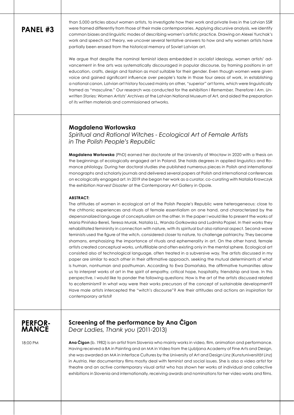than 5,000 articles about women artists, to investigate how their work and private lives in the Latvian SSR were framed differently from those of their male contemporaries. Applying discursive analysis, we identify common biases and linguistic modes of describing women's artistic practice. Drawing on Alexei Yurchak's work and speech act theory, we uncover several tentative answers to how and why women artists have partially been erased from the historical memory of Soviet Latvian art.

We argue that despite the nominal feminist ideas embedded in socialist ideology, women artists' advancement in fine arts was systematically discouraged in popular discourse, by framing positions in art education, crafts, design and fashion as most suitable for their gender. Even though women were given voice and gained significant influence over people's taste in those four areas of work, in establishing a national canon, Latvian art history focused mainly on other, "superior" art forms, which were linguistically framed as "masculine." Our research was conducted for the exhibition *I Remember, Therefore I Am. Unwritten Stories: Women Artists' Archives* at the Latvian National Museum of Art, and aided the preparation of its written materials and commissioned artworks.

### **Magdalena Worłowska**

*Spiritual and Rational Witches - Ecological Art of Female Artists in The Polish People's Republic* 

**Magdalena Worłowska** (PhD) earned her doctorate at the University of Wrocław in 2020 with a thesis on the beginnings of ecologically engaged art in Poland. She holds degrees in applied linguistics and Romance philology. During her doctoral studies she published numerous pieces in Polish and international monographs and scholarly journals and delivered several papers at Polish and international conferences on ecologically engaged art. In 2019 she began her work as a curator, co-curating with Natalia Krawczyk the exhibition *Harvest Disaster* at the Contemporary Art Gallery in Opole.

### **ABSTRACT:**

The attitudes of women in ecological art of the Polish People's Republic were heterogeneous: close to the chthonic experiences and rituals of female essentialism on one hand, and characterized by the depersonalized language of conceptualism on the other. In the paper I would like to present the works of Maria Pinińska-Bereś, Teresa Murak, Natalia LL, Wanda Gołkowska and Ludmiła Popiel. In their works they rehabilitated femininity in connection with nature, with its spiritual but also rational aspect. Second-wave feminists used the figure of the witch, considered closer to nature, to challenge patriarchy. They became shamans, emphasizing the importance of rituals and ephemerality in art. On the other hand, female artists created conceptual works, unfulfillable and often existing only in the mental sphere. Ecological art consisted also of technological language, often treated in a subversive way. The artists discussed in my paper are similar to each other in their affirmative approach, seeking the mutual determinants of what is human, nonhuman and posthuman. According to Ewa Domańska, the affirmative humanities allow us to interpret works of art in the spirit of empathy, critical hope, hospitality, friendship and love. In this perspective, I would like to ponder the following questions: How is the art of the artists discussed related to ecofeminism? In what way were their works precursors of the concept of sustainable development? Have male artists intercepted the "witch's discourse"? Are their attitudes and actions an inspiration for contemporary artists?



### **Screening of the performance by Ana Čigon** *Dear Ladies, Thank you* (2011-2013)

18:00 PM

**Ana Čigon** (b. 1982) is an artist from Slovenia who mainly works in video, film, animation and performance. Having received a BA in Painting and an MA in Video from the Ljubljana Academy of Fine Arts and Design, she was awarded an MA in Interface Cultures by the University of Art and Design Linz (Kunstuniversität Linz) in Austria. Her documentary films mostly deal with feminist and social issues. She is also a video artist for theatre and an active contemporary visual artist who has shown her works at individual and collective exhibitions in Slovenia and internationally, receiving awards and nominations for her video works and films.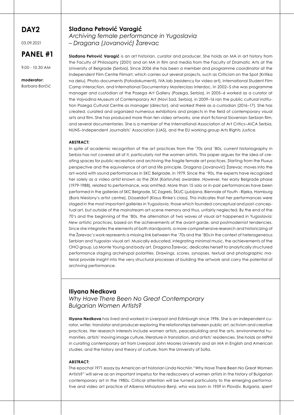# **DAY2**

03.09.2021

# **PANEL #1**

9.00 - 10.30 AM

**moderator:**  Barbara Borčić

### **Slađana Petrović Varagić**

*Archiving female performance in Yugoslavia – Dragana (Jovanović) Žarevac*

**Slađana Petrović Varagić** is an art historian, curator and producer. She holds an MA in art history from the Faculty of Philosophy (2001) and an MA in film and media from the Faculty of Dramatic Arts at the University of Belgrade (Serbia). Since 2006 she has been a member and programme coordinator at the Independent Film Centre Filmart, which carries out several projects, such as Criticism on the Spot (Kritika na delu), Photo-documents (Fotodokumenti), IVA.lab (residency for video art), International Student Film Camp Interaction, and International Documentary Masterclass Interdoc. In 2002–5 she was programme manager and custodian at the Pozega Art Gallery (Pozega, Serbia), in 2005–6 worked as a curator at the Vojvodina Museum of Contemporary Art (Novi Sad, Serbia), in 2009–16 ran the public cultural institution Pozega Cultural Centre as manager (director), and worked there as a custodian (2016–17). She has created, curated and organized numerous exhibitions and projects in the field of contemporary visual arts and film. She has produced more than ten video artworks, one short fictional Slovenian-Serbian film, and several documentaries. She is a member of the International Association of Art Critics–AICA Serbia, NUNS–Independent Journalists' Association (IJAS), and the EU working group Arts Rights Justice.

### **ABSTRACT:**

In spite of academic recognition of the art practices from the '70s and '80s, current historiography in Serbia has not covered all of it, particularly not the women artists. This paper argues for the idea of creating spaces for public recreation and archiving the fragile female art practices. Starting from the Fluxus perspective and the equivalence of art and life principle, Dragana (Jovanović) Žarevac moves into the art-world with sound performances in SKC Belgrade, in 1979. Since the '90s, the experts have recognized her solely as a video artist known as the ZKM (Karlsruhe) awardee. However, her early Belgrade phase (1979-1988), related to performance, was omitted. More than 15 solo or in-pair performances have been performed in the galleries of SKC Belgrade, SC Zagreb, ŠKUC Ljubljana, Biennale of Youth - Rijeka, Hamburg (Boris Nieslony's artist centre), Düsseldorf (Klaus Rinke's class). This indicates that her performances were staged in the most important galleries in Yugoslavia, those which founded conceptual and post-conceptual art, but outside of the mainstream art-scene memory and thus, unfairly neglected. By the end of the 70's and the beginning of the '80s, the alternation of two waves of visual art happened in Yugoslavia: *New artistic practices*, based on the achievements of the avant-garde, and postmodernist tendencies. Since she integrates the elements of both standpoints, a more comprehensive research and historicizing of the Žarevac's work represents a missing link between the '70s and the '80s in the context of heterogeneous Serbian and Yugoslav visual art. Musically educated, integrating minimal music, the achievements of the OHO group, La Monte Young and body art, Dragana Žarevac, dedicates herself to analytically structured performance staging archetypal polarities. Drawings, scores, synopses, textual and photographic material provide insight into the very structural processes of building the artwork and carry the potential of archiving performance.

### **Iliyana Nedkova**

*Why Have There Been No Great Contemporary Bulgarian Women Artists?*

**Iliyana Nedkova** has lived and worked in Liverpool and Edinburgh since 1996. She is an independent curator, writer, translator and producer exploring the relationships between public art, activism and creative practices. Her research interests include women artists, peacebuilding and the arts, environmental humanities, artists' moving image culture, literature in translation, and artists' residencies. She holds an MPhil in curating contemporary art from Liverpool John Moores University and an MA in English and American studies, and the history and theory of culture, from the University of Sofia.

### **ABSTRACT:**

The epochal 1971 essay by American art historian Linda Nochlin "Why Have There Been No Great Women Artists?" will serve as an important impetus for the rediscovery of women artists in the history of Bulgarian contemporary art in the 1980s. Critical attention will be turned particularly to the emerging performative and video art practice of Albena Mihaylova-Benji, who was born in 1959 in Plovdiv, Bulgaria, spent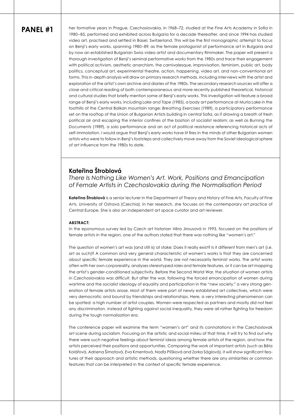**PANEL #1** her formative years in Prague, Czechoslovakia, in 1968–72, studied at the Fine Arts Academy in Sofia in 1980–85, performed and exhibited across Bulgaria for a decade thereafter, and since 1994 has studied video art, practised and settled in Basel, Switzerland. This will be the first monographic attempt to focus on Benji's early works, spanning 1980–89, as the female protagonist of performance art in Bulgaria and by now an established Bulgarian Swiss video artist and documentary filmmaker. The paper will present a thorough investigation of Benji's seminal performative works from the 1980s and trace their engagement with political activism, aesthetic anarchism, the carnivalesque, improvisation, feminism, public art, body politics, conceptual art, experimental theatre, action, happening, video art, and non-conventional art forms. This in-depth analysis will draw on primary research methods, including interviews with the artist and exploration of the artist's own archive and diaries of the 1980s. The secondary research sources will offer a close and critical reading of both contemporaneous and more recently published theoretical, historical and cultural studies that briefly mention some of Benji's early works. This investigation will feature a broad range of Benji's early works, including *Lake and Tape* (1985), a body art performance at Murla Lake in the foothills of the Central Balkan mountain range; *Breathing Exercises* (1989), a participatory performance set on the rooftop of the Union of Bulgarian Artists building in central Sofia, as if drawing a breath of fresh political air and escaping the interior confines of the bastion of socialist realism; as well as *Burning the Documents* (1989), a solo performance and an act of political resistance referencing historical acts of self-immolation. I would argue that Benji's early works have lit fires in the minds of other Bulgarian women artists who were to follow in Benji's footsteps and collectively move away from the Soviet ideological sphere of art influence from the 1980s to date.

### **Kateřina Štroblová**

*There Is Nothing Like Women's Art. Work, Positions and Emancipation of Female Artists in Czechoslovakia during the Normalisation Period*

**Kateřina Štroblová** is a senior lecturer in the Department of Theory and History of Fine Arts, Faculty of Fine Arts, University of Ostrava (Czechia). In her research, she focuses on the contemporary art practice of Central Europe. She is also an independent art space curator and art reviewer.

### **ABSTRACT:**

In the eponymous survey led by Czech art historian Věra Jirousová in 1993, focused on the positions of female artists in the region, one of the authors stated that there was nothing like "women's art."

The question of women's art was (and still is) at stake: Does it really exist? Is it different from men's art (i.e. art as such)? A common and very general characteristic of women's works is that they are concerned about specific female experience in the world. They are not necessarily feminist works. The artist works often with her own corporeality, analyses stereotyped roles and female features, or it can be art mapping the artist's gender-conditioned subjectivity. Before the Second World War, the situation of women artists in Czechoslovakia was difficult. But after the war, following the forced emancipation of women during wartime and the socialist ideology of equality and participation in the "new society," a very strong generation of female artists arose. Most of them were part of newly established art collectives, which were very democratic and bound by friendships and relationships. Here, a very interesting phenomenon can be spotted: a high number of artist couples. Women were respected as partners and mostly did not feel any discrimination. Instead of fighting against social inequality, they were all rather fighting for freedom during the tough normalization era.

The conference paper will examine the term "women's art" and its connotations in the Czechoslovak art scene during socialism. Focusing on the artistic and social milieu of that time, it will try to find out why there were such negative feelings about feminist ideas among female artists of the region, and how the artists perceived their positions and opportunities. Comparing the work of important artists (such as Běla Kolářová, Adriena Šimotová, Eva Kmentová, Naďa Plíšková and Zorka Ságlová), it will show significant features of their approach and artistic methods, questioning whether there are any similarities or common features that can be interpreted in the context of specific female experience.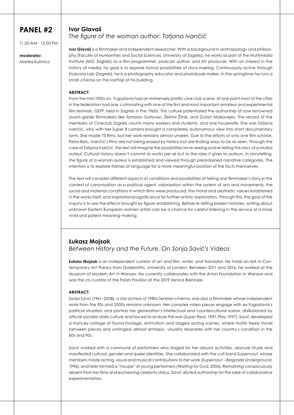11.00 AM - 13.00 PM

# **moderator:**

Marika Kuźmicz

### **Ivor Glavaš**  *The figure of the woman author: Tatjana Ivančić*

**Ivor Glavaš** is a filmmaker and independent researcher. With a background in anthropology and philosophy (Faculty of Humanities and Social Sciences, University of Zagreb), he works as part of the Multimedia Institute (MI2, Zagreb) as a film programmer, podcast author, and AV producer. With an interest in the history of media, his goal is to explore formal possibilities of story-making. Continuously active through Klubvizia Lab (Zagreb), he is a photography educator and photobook maker. In the springtime he runs a small cinema on the rooftop of his building.

### **ABSTRACT:**

From the mid-1950s on, Yugoslavia had an immensely prolific cine club scene. At one point most of the cities in the federation had one, culminating with one of the first and most important amateur and experimental film festivals, GEFF, held in Zagreb in the 1960s. This culture potentiated the authorship of now renowned avant-garde filmmakers like Tomislav Gotovac, Želimir Žilnik, and Dušan Makavejev. The record of the members of Cineclub Zagreb counts many workers and students, and one housewife. She was Tatjana Ivančić, who with her Super 8 camera brought a completely autonomous view into short documentary form. She made 75 films, but her work remains almost unseen. Due to the efforts of only one film scholar, Petra Belc, Ivančić's films are not being erased by history but are finding ways to be re-seen. Through the case of Tatjana Ivančić, the text will imagine the possibilities for re-seeing and re-telling the story of a muted auteur. Cultural history doesn't commit to works per se but to the roles it gives to auteurs. In storytelling, the figure of a woman auteur is established and viewed through preordained narrative categories. The intention is to explore frames of language for a more meaningful position of the facts themselves.

The text will consider different aspects of conditions and possibilities of telling one filmmaker's story in the context of canonization as a political agent, valorization within the system of arts and movements, the social and material conditions in which films were produced, the moral and aesthetic values established in the works itself, and inspirational significance for further artistic exploration. Through this, the goal of the inquiry is to see the effects brought by figure-establishing. Before re-telling broken histories, writing about unknown Eastern European women artists can be a chance for careful listening in the service of a more vivid and potent meaning-making.

### **Łukasz Mojsak**

### *Between History and the Future. On Sonja Savić's Videos*

**Łukasz Mojsak** is an independent curator of art and film, writer, and translator. He holds an MA in Contemporary Art Theory from Goldsmiths, University of London. Between 2011 and 2016, he worked at the Museum of Modern Art in Warsaw. He currently collaborates with the Arton Foundation in Warsaw and was the co-curator of the Polish Pavilion at the 2019 Venice Biennale.

### **ABSTRACT:**

Sonja Savić (1961–2008), a star actress of 1980s Serbian cinema, was also a filmmaker whose independent work from the 90s and 2000s remains unknown. Her complex video pieces engage with ex-Yugoslavia's political situation and portray her generation's intellectual and countercultural scene, disillusioned by official socialist state culture and forced to endure the war (*Super Real*, 1997, *Play* 1997). Savić developed a trancey collage of found footage, animation and staged acting scenes, where motifs freely travel between pieces and unhinged, almost entropic, visuality resonates with her country's condition in the 80s and 90s.

Savić worked with a commune of performers who staged for her absurd activities, obscure rituals and manifested cultural, gender and queer identities. She collaborated with the cult band Supernaut, whose members made acting, visual and musical contributions to her work (*Supernaut – Belgrade Underground*, 1996), and later formed a "troupe" of young performers (*Waiting for God*, 2006). Remaining conspicuously absent from her films and eschewing celebrity status, Savić diluted authorship for the sake of collaborative experimentation.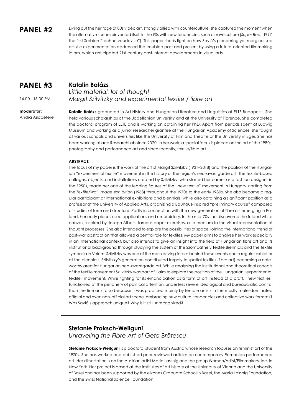Living out the heritage of 80s video art, strongly allied with counterculture, she captured the moment when the alternative scene reinvented itself in the 90s with new tendencies, such as rave culture (*Super Real*, 1997, the first Serbian "techno vaudeville"). This paper sheds light on how Savić's pioneering yet marginalised artistic experimentation addressed the troubled past and present by using a future-oriented filmmaking idiom, which anticipated 21st century post-internet developments in visual arts.

# **PANEL #3**

14.00 - 15.30 PM

**moderator:**  Andra Ailapētere *Little material, lot of thought Margit Szilvitzky and experimental textile / fibre art*

**Katalin Balázs** graduated in Art History and Hungarian Literature and Linguistics at ELTE Budapest. She held various scholarships at the Jagellonian University and at the University of Florence. She completed the doctoral program of ELTE and is working on obtaining her PhD. Apart from periods spent at Ludwig Museum and working as a junior researcher grantee at the Hungarian Academy of Sciences, she taught at various schools and universities like the University of Film and Theatre or the University in Eger. She has been working at acb ResearchLab since 2020. In her work, a special focus is placed on the art of the 1980s, photography and performance art and since recently, textile/fibre art.

### **ABSTRACT:**

**Katalin Balázs** 

The focus of my paper is the work of the artist Margit Szilvitzky (1931–2018) and the position of the Hungarian "experimental textile" movement in the history of the region's neo-avantgarde art. The textile-based collages, objects, and installations created by Szilvitzky, who started her career as a fashion designer in the 1950s, made her one of the leading figures of the "new textile" movement in Hungary starting from the *Textile/Wall Image exhibition* (1968) throughout the 1970s to the early 1980s. She also became a regular participant at international exhibitions and biennials, while also obtaining a significant position as a professor at the University of Applied Arts, organizing a Bauhaus-inspired "preliminary course" composed of studies of form and structure. Partly in connection with the new generation of fibre art emerging in Poland, her early pieces used applications and embroidery. In the mid-70s she discovered the folded white canvas, inspired by Joseph Albers' famous paper exercises, as a medium to the visual representation of thought processes. She also intended to explore the possibilities of space, joining the international trend of post-war abstraction that allowed a central role for textiles. My paper aims to analyse her work especially in an international context, but also intends to give an insight into the field of Hungarian fibre art and its institutional background through studying the system of the Szombathely Textile Biennials and the textile symposia in Velem. Szilvitzky was one of the main driving forces behind these events and a regular exhibitor at the biennials. Szilvitzky's generation contributed largely to spatial textiles (fibre art) becoming a noteworthy area for Hungarian neo-avantgarde art. While analysing the institutional and theoretical aspects of the textile movement Szilvitzky was part of, I aim to explore the position of the Hungarian "experimental textile" movement. While fighting for its emancipation as a form of art instead of a craft, "new textiles" functioned at the periphery of political attention, under less severe ideological and bureaucratic control than the fine arts, also because it was practised mainly by female artists in the mostly male-dominated official and even non-official art scene. embracing new cultural tendencies and collective work formats? Was Savić's approach unique? Why is it still unrecognized?

### **Stefanie Proksch-Weilguni**

*Unraveling the Fibre Art of Geta Brătescu*

**Stefanie Proksch-Weilguni** is a doctoral student from Austria whose research focuses on feminist art of the 1970s. She has worked and published peer-reviewed articles on contemporary Romanian performance art. Her dissertation is on the Austrian artist Maria Lassnig and the group Women/Artist/Filmmakers, Inc. in New York. Her project is based at the institutes of art history at the University of Vienna and the University of Basel and has been supported by the eikones Graduate School in Basel, the Maria Lassnig Foundation, and the Swiss National Science Foundation.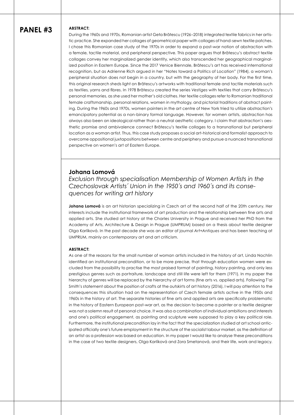### **ABSTRACT:**

During the 1960s and 1970s, Romanian artist Geta Brătescu (1926–2018) integrated textile fabrics in her artistic practice. She expanded her collages of geometrical paper with collages of hand-sewn textile patches. I chose this Romanian case study of the 1970s in order to expand a post-war notion of abstraction with a female, tactile material, and peripheral perspective. This paper argues that Brătescu's abstract textile collages convey her marginalized gender identity, which also transcended her geographical marginalized position in Eastern Europe. Since the 2017 Venice Biennale, Brătescu's art has received international recognition, but as Adrienne Rich argued in her "Notes toward a Politics of Location" (1984), a woman's peripheral situation does not begin in a country, but with the geography of her body. For the first time, this original research sheds light on Brătescu's artworks with traditional female and tactile materials such as textiles, yarns and fibres. In 1978 Brătescu created the series *Vestiges* with textiles that carry Brătescu's personal memories, as she used her mother's old clothes. Her textile collages refer to Romanian traditional female craftsmanship, personal relations, women in mythology, and pictorial traditions of abstract painting. During the 1960s and 1970s, women painters in the art centre of New York tried to utilize abstraction's emancipatory potential as a non-binary formal language. However, for women artists, abstraction has always also been an ideological rather than a neutral aesthetic category. I claim that abstraction's aesthetic promise and ambivalence connect Brătescu's textile collages to a transnational but peripheral location as a woman artist. Thus, this case study proposes a social art-historical and formalist approach to overcome oppositional juxtapositions between centre and periphery and pursue a nuanced transnational perspective on women's art of Eastern Europe.

### **Johana Lomová**

*Exclusion through specialisation Membership of Women Artists in the Czechoslovak Artists´ Union in the 1950´s and 1960´s and its consequences for writing art history*

**Johana Lomová** is an art historian specializing in Czech art of the second half of the 20th century. Her interests include the institutional framework of art production and the relationship between fine arts and applied arts. She studied art history at the Charles University in Prague and received her PhD from the Academy of Arts, Architecture & Design in Prague (UMPRUM) based on a thesis about textile designer Olga Karlíková. In the past decade she was an editor of journal *Art+Antiques* and has been teaching at UMPRUM, mainly on contemporary art and art criticism.

#### **ABSTRACT:**

As one of the reasons for the small number of woman artists included in the history of art, Linda Nochlin identified an institutional precondition, or to be more precise, that through education women were excluded from the possibility to practise the most praised format of painting, history painting, and only less prestigious genres such as portraiture, landscape and still life were left for them (1971). In my paper the hierarchy of genres will be replaced by the hierarchy of art forms (fine arts vs. applied arts). Following T'ai Smith's statement about the position of crafts at the outskirts of art history (2016), I will pay attention to the consequences this situation had on the representation of Czech female artists active in the 1950s and 1960s in the history of art. The separate histories of fine arts and applied arts are specifically problematic in the history of Eastern European post-war art, as the decision to become a painter or a textile designer was not a solemn result of personal choice. It was also a combination of individual ambitions and interests and one's political engagement, as painting and sculpture were supposed to play a key political role. Furthermore, the institutional precondition lay in the fact that the specialization studied at art school anticipated officially one's future employment in the structure of the socialist labour market, as the definition of an artist as a profession was based on education. In my paper I would like to analyse these preconditions in the case of two textile designers, Olga Karlíková and Zora Smetanová, and their life, work and legacy.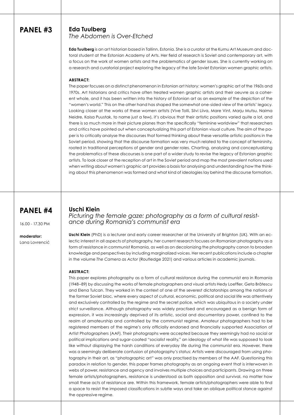### **Eda Tuulberg**

*The Abdomen is Over-Etched*

**Eda Tuulberg** is an art historian based in Tallinn, Estonia. She is a curator at the Kumu Art Museum and doctoral student at the Estonian Academy of Arts. Her field of research is Soviet and contemporary art, with a focus on the work of women artists and the problematics of gender issues. She is currently working on a research and curatorial project exploring the legacy of the late Soviet Estonian women graphic artists.

#### **ABSTRACT:**

The paper focuses on a distinct phenomenon in Estonian art history: women's graphic art of the 1960s and 1970s. Art historians and critics have often treated women graphic artists and their oeuvre as a coherent whole, and it has been written into the history of Estonian art as an example of the depiction of the "women's world." This on the other hand has shaped the somewhat one-sided view of the artists' legacy. Looking closer at the works of these women artists (Vive Tolli, Silvi Liiva, Mare Vint, Marju Mutsu, Naima Neidre, Kaisa Puustak, to name just a few), it's obvious that their artistic positions varied quite a lot, and there is so much more in their picture planes than the specifically "feminine worldview" that researchers and critics have pointed out when conceptualizing this part of Estonian visual culture. The aim of the paper is to critically analyse the discourses that formed thinking about these versatile artistic positions in the Soviet period, showing that the discourse formation was very much related to the concept of femininity, rooted in traditional perceptions of gender and gender roles. Charting, analysing and conceptualizing the problematics of these discourses is one part of a wider study to revise the legacy of Estonian graphic artists. To look closer at the reception of art in the Soviet period and map the most prevalent notions used when writing about women's graphic art provides a basis for analysing and understanding how the thinking about this phenomenon was formed and what kind of ideologies lay behind the discourse formation.

# **PANEL #4**

16.00 - 17.30 PM

**moderator:**  Lana Lovrencić

### **Uschi Klein**

*Picturing the female gaze: photography as a form of cultural resistance during Romania's communist era*

**Uschi Klein** (PhD) is a lecturer and early career researcher at the University of Brighton (UK). With an eclectic interest in all aspects of photography, her current research focuses on Romanian photography as a form of resistance in communist Romania, as well as on decolonizing the photography canon to broaden knowledge and perspectives by including marginalized voices. Her recent publications include a chapter in the volume *The Camera as Actor* (Routledge 2021) and various articles in academic journals.

### **ABSTRACT:**

This paper explores photography as a form of cultural resistance during the communist era in Romania (1948–89) by discussing the works of female photographers and visual artists Hedy Loeffler, Geta Brătescu and Elena Tulcan. They worked in the context of one of the severest dictatorships among the nations of the former Soviet bloc, where every aspect of cultural, economic, political and social life was attentively and exclusively controlled by the regime and the secret police, which was ubiquitous in a society under strict surveillance. Although photography was widely practised and encouraged as a benign form of expression, it was increasingly deprived of its artistic, social and documentary power, confined to the realm of amateurship and controlled by the communist regime. Amateur photographers had to be registered members of the regime's only officially endorsed and financially supported Association of Artist Photographers (AAF). Their photographs were accepted because they seemingly had no social or political implications and sugar-coated "socialist reality," an ideology of what life was supposed to look like without displaying the harsh conditions of everyday life during the communist era. However, there was a seemingly deliberate confusion of photography's status: Artists were discouraged from using photography in their art, as "photographic art" was only practised by members of the AAF. Questioning this paradox in relation to gender, this paper frames photography as an ongoing event that is interwoven in webs of power, resistance and agency and involves multiple choices and participants. Drawing on three female artists/photographers, resistance is understood as both opposition and survival, no matter how small these acts of resistance are. Within this framework, female artists/photographers were able to find a space to resist the imposed classifications in subtle ways and take an oblique political stance against the oppressive regime.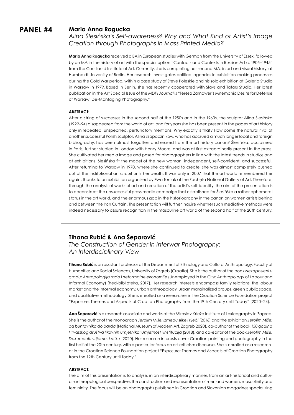### **Maria Anna Rogucka**

*Alina Ślesińska's Self-awareness? Why and What Kind of Artist's Image Creation through Photographs in Mass Printed Media?*

**Maria Anna Rogucka** received a BA in European studies with German from the University of Essex, followed by an MA in the history of art with the special option "Contacts and Contexts in Russian Art c. 1905–1945" from the Courtauld Institute of Art. Currently, she is completing her second MA, in art and visual history, at Humboldt University of Berlin. Her research investigates political agendas in exhibition-making processes during the Cold War period, within a case study of Steve Poleskie and his solo exhibition at Galeria Studio in Warsaw in 1979. Based in Berlin, she has recently cooperated with Slavs and Tatars Studio. Her latest publication in the Art Special Issue of the *MDPI Journal* is "Teresa Żarnower's Mnemonic Desire for Defense of Warsaw: De-Montaging Photography."

#### **ABSTRACT:**

After a string of successes in the second half of the 1950s and in the 1960s, the sculptor Alina Ślesińska (1922–94) disappeared from the world of art, and for years she has been present in the pages of art history only in repeated, unspecified, perfunctory mentions. Why exactly is that? How come the natural rival of another successful Polish sculptor, Alina Szapacznikow, who has accrued a much longer local and foreign bibliography, has been almost forgotten and erased from the art history canon? Ślesińska, acclaimed in Paris, further studied in London with Henry Moore, and was at first extraordinarily present in the press. She cultivated her media image and posed for photographers in line with the latest trends in studios and at exhibitions. Ślesińska fit the model of the new woman: independent, self-confident, and successful. After returning to Warsaw in 1970, where she continued to create, she was almost completely pushed out of the institutional art circuit until her death. It was only in 2007 that the art world remembered her again, thanks to an exhibition organized by Ewa Toniak at the Zachęta National Gallery of Art. Therefore, through the analysis of works of art and creation of the artist's self-identity, the aim of the presentation is to deconstruct the unsuccessful press media campaign that established for Ślesińśka a rather ephemeral status in the art world, and the enormous gap in the historiography in the canon on women artists behind and between the Iron Curtain. The presentation will further inquire whether such mediative methods were indeed necessary to assure recognition in the masculine art world of the second half of the 20th century.

### **Tihana Rubić & Ana Šeparović**

*The Construction of Gender in Interwar Photography: An Interdisciplinary View*

**Tihana Rubić** is an assistant professor at the Department of Ethnology and Cultural Anthropology, Faculty of Humanities and Social Sciences, University of Zagreb (Croatia). She is the author of the book *Nezaposleni u gradu: Antropologija rada i neformalne ekonomije* (Unemployed in the City: Anthropology of Labour and Informal Economy) (hed-biblioteka, 2017). Her research interests encompass family relations, the labour market and the informal economy, urban anthropology, urban marginalized groups, green public space, and qualitative methodology. She is enrolled as a researcher in the Croatian Science Foundation project "Exposure: Themes and Aspects of Croatian Photography from the 19th Century until Today" (2020–24).

**Ana Šeparović** is a research associate and works at the Miroslav Krleža Institute of Lexicography in Zagreb. She is the author of the monograph *Jerolim Miše: između slike i riječi* (2016) and the exhibition *Jerolim Miše: od buntovnika do barda* (National Museum of Modern Art, Zagreb 2020), co-author of the book *150 godina Hrvatskog društva likovnih umjetnika: Umjetnost i institucija* (2018), and co-editor of the book *Jerolim Miše. Dokumenti, vrijeme, kritike* (2020). Her research interests cover Croatian painting and photography in the first half of the 20th century, with a particular focus on art criticism discourse. She is enrolled as a researcher in the Croatian Science Foundation project "Exposure: Themes and Aspects of Croatian Photography from the 19th Century until Today."

#### **ABSTRACT:**

The aim of this presentation is to analyse, in an interdisciplinary manner, from an art-historical and cultural-anthropological perspective, the construction and representation of men and women, masculinity and femininity. The focus will be on photographs published in Croatian and Slovenian magazines specializing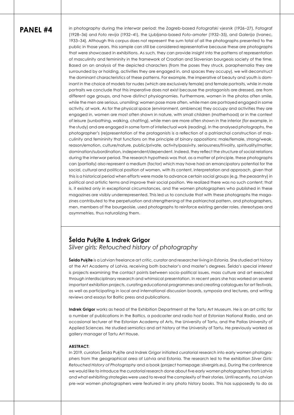in photography during the interwar period: the Zagreb-based *Fotografski vjesnik* (1926–27), Fotograf (1928–36) and *Foto revija* (1932–41), the Ljubljana-based *Foto-amater* (1932–35), and *Galerija* (Ivanec, 1933–34). Although this corpus does not represent the sum total of all the photographs presented to the public in those years, this sample can still be considered representative because these are photographs that were showcased in exhibitions. As such, they can provide insight into the patterns of representation of masculinity and femininity in the framework of Croatian and Slovenian bourgeois society of the time. Based on an analysis of the depicted characters (from the poses they struck, paraphernalia they are surrounded by or holding, activities they are engaged in, and spaces they occupy), we will deconstruct the dominant characteristics of these patterns. For example, the imperative of beauty and youth is dominant in the choice of models for nudes (which are exclusively female) and female portraits, while in male portraits we conclude that this imperative does not exist because the protagonists are dressed, are from different age groups, and have distinct physiognomies. Furthermore, women in the photos often smile, while the men are serious, unsmiling; women pose more often, while men are portrayed engaged in some activity, at work. As for the physical space (environment, ambience) they occupy and activities they are engaged in, women are most often shown in nature, with small children (motherhood) or in the context of leisure (sunbathing, walking, chatting), while men are more often shown in the interior (for example, in the study) and are engaged in some form of intellectual work (reading). In the analysed photographs, the photographer's (re)presentation of the protagonists is a reflection of a patriarchal construction of masculinity and femininity that functions on the principle of binary oppositions: male/female, strong/weak, reason/emotion, culture/nature, public/private, activity/passivity, seriousness/frivolity, spirituality/matter, domination/subordination, independent/dependent. Indeed, they reflect the structure of social relations during the interwar period. The research hypothesis was that, as a matter of principle, these photographs can (partially) also represent a medium (factor) which may have had an emancipatory potential for the social, cultural and political position of women, with its content, interpretation and approach, given that this is a historical period when efforts were made to advance certain social groups (e.g. the peasantry) in political and artistic terms and improve their social position. We realized there was no such content; that is, it existed only in exceptional circumstances, and the women photographers who published in these magazines are visibly underrepresented. This led us to conclude that with these photographs the magazines contributed to the perpetuation and strengthening of the patriarchal pattern, and photographers, men, members of the bourgeoisie, used photographs to reinforce existing gender roles, stereotypes and asymmetries, thus naturalizing them.

# **Šelda Puķīte & Indrek Grigor**

*Silver girls: Retouched history of photography*

**Šelda Puķīte** is a Latvian freelance art critic, curator and researcher living in Estonia. She studied art history at the Art Academy of Latvia, receiving both bachelor's and master's degrees. Šelda's special interest is projects examining the contact points between socio-political issues, mass culture and art executed through interdisciplinary research and whimsical presentation. In recent years she has worked on several important exhibition projects, curating educational programmes and creating catalogues for art festivals, as well as participating in local and international discussion boards, symposia and lectures, and writing reviews and essays for Baltic press and publications.

**Indrek Grigor** works as head of the Exhibition Department at the Tartu Art Museum. He is an art critic for a number of publications in the Baltics, a podcaster and radio host at Estonian National Radio, and an occasional lecturer at the Estonian Academy of Arts, the University of Tartu, and the Pallas University of Applied Sciences. He studied semiotics and art history at the University of Tartu. He previously worked as gallery manager of Tartu Art House.

#### **ABSTRACT:**

In 2019, curators Šelda Puķīte and Indrek Grigor initiated curatorial research into early women photographers from the geographical area of Latvia and Estonia. The research led to the exhibition *Silver Girls: Retouched History of Photography* and a book (project homepage: silvergirls.eu). During the conference we would like to introduce the curatorial research done about five early women photographers from Latvia and what exhibiting strategies were used to reveal the complexity of their stories. Until recently, no Latvian pre-war women photographers were featured in any photo history books. This has supposedly to do as